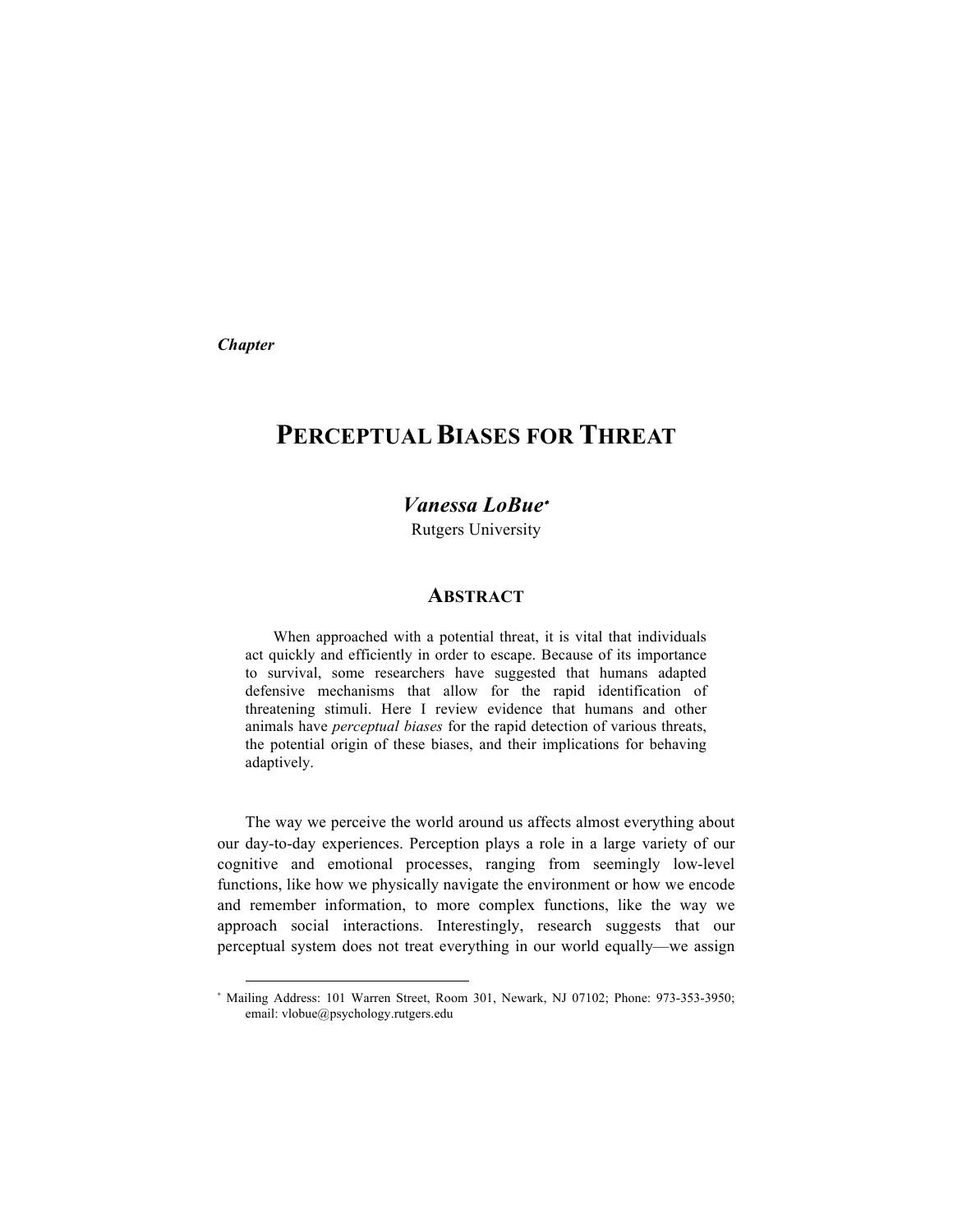*Chapter*

l

# **PERCEPTUAL BIASES FOR THREAT**

# *Vanessa LoBue*<sup>∗</sup>

Rutgers University

### **ABSTRACT**

When approached with a potential threat, it is vital that individuals act quickly and efficiently in order to escape. Because of its importance to survival, some researchers have suggested that humans adapted defensive mechanisms that allow for the rapid identification of threatening stimuli. Here I review evidence that humans and other animals have *perceptual biases* for the rapid detection of various threats, the potential origin of these biases, and their implications for behaving adaptively.

The way we perceive the world around us affects almost everything about our day-to-day experiences. Perception plays a role in a large variety of our cognitive and emotional processes, ranging from seemingly low-level functions, like how we physically navigate the environment or how we encode and remember information, to more complex functions, like the way we approach social interactions. Interestingly, research suggests that our perceptual system does not treat everything in our world equally—we assign

<sup>∗</sup> Mailing Address: 101 Warren Street, Room 301, Newark, NJ 07102; Phone: 973-353-3950; email: vlobue@psychology.rutgers.edu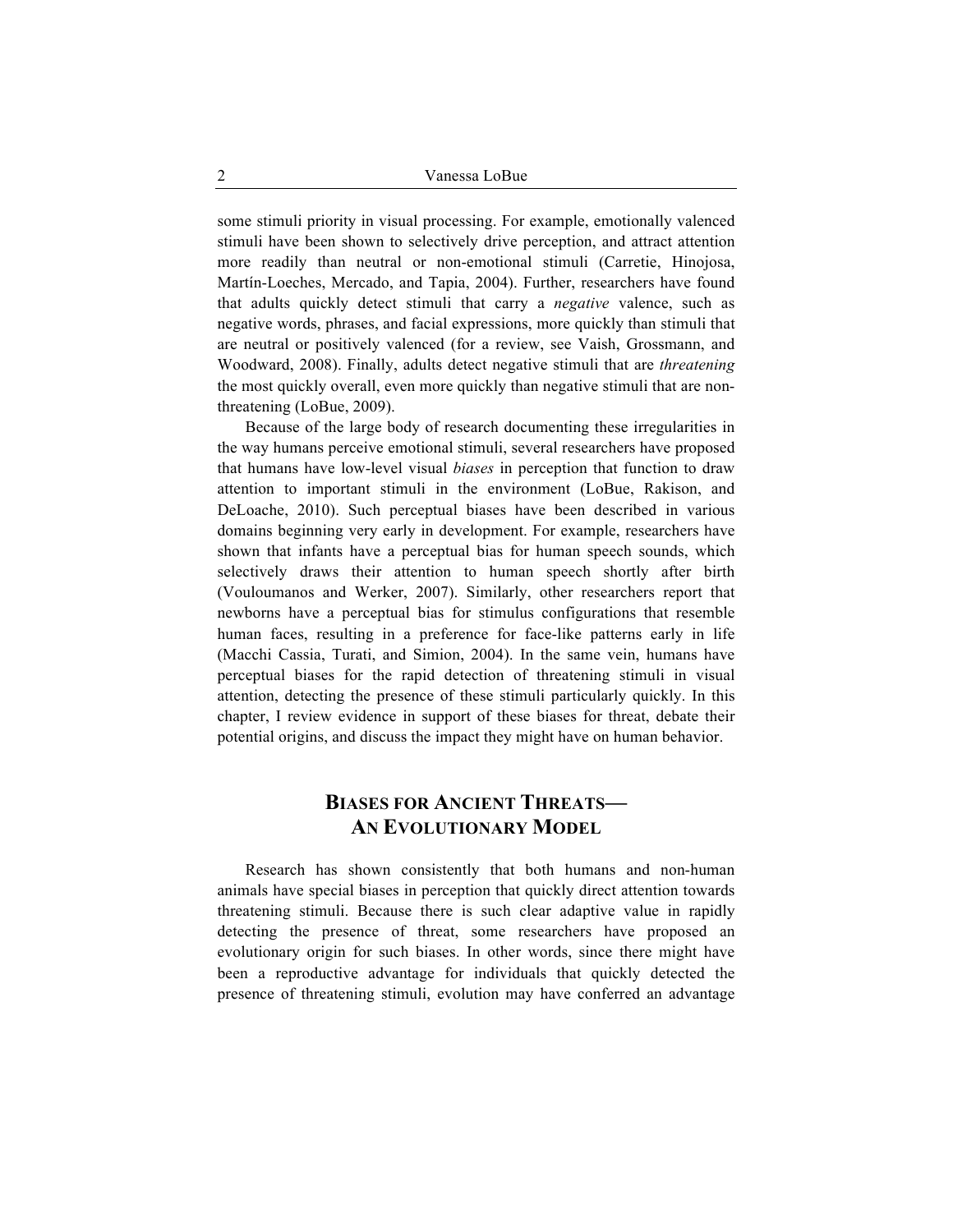some stimuli priority in visual processing. For example, emotionally valenced stimuli have been shown to selectively drive perception, and attract attention more readily than neutral or non-emotional stimuli (Carretie, Hinojosa, Martín-Loeches, Mercado, and Tapia, 2004). Further, researchers have found that adults quickly detect stimuli that carry a *negative* valence, such as negative words, phrases, and facial expressions, more quickly than stimuli that are neutral or positively valenced (for a review, see Vaish, Grossmann, and Woodward, 2008). Finally, adults detect negative stimuli that are *threatening* the most quickly overall, even more quickly than negative stimuli that are nonthreatening (LoBue, 2009).

Because of the large body of research documenting these irregularities in the way humans perceive emotional stimuli, several researchers have proposed that humans have low-level visual *biases* in perception that function to draw attention to important stimuli in the environment (LoBue, Rakison, and DeLoache, 2010). Such perceptual biases have been described in various domains beginning very early in development. For example, researchers have shown that infants have a perceptual bias for human speech sounds, which selectively draws their attention to human speech shortly after birth (Vouloumanos and Werker, 2007). Similarly, other researchers report that newborns have a perceptual bias for stimulus configurations that resemble human faces, resulting in a preference for face-like patterns early in life (Macchi Cassia, Turati, and Simion, 2004). In the same vein, humans have perceptual biases for the rapid detection of threatening stimuli in visual attention, detecting the presence of these stimuli particularly quickly. In this chapter, I review evidence in support of these biases for threat, debate their potential origins, and discuss the impact they might have on human behavior.

# **BIASES FOR ANCIENT THREATS— AN EVOLUTIONARY MODEL**

Research has shown consistently that both humans and non-human animals have special biases in perception that quickly direct attention towards threatening stimuli. Because there is such clear adaptive value in rapidly detecting the presence of threat, some researchers have proposed an evolutionary origin for such biases. In other words, since there might have been a reproductive advantage for individuals that quickly detected the presence of threatening stimuli, evolution may have conferred an advantage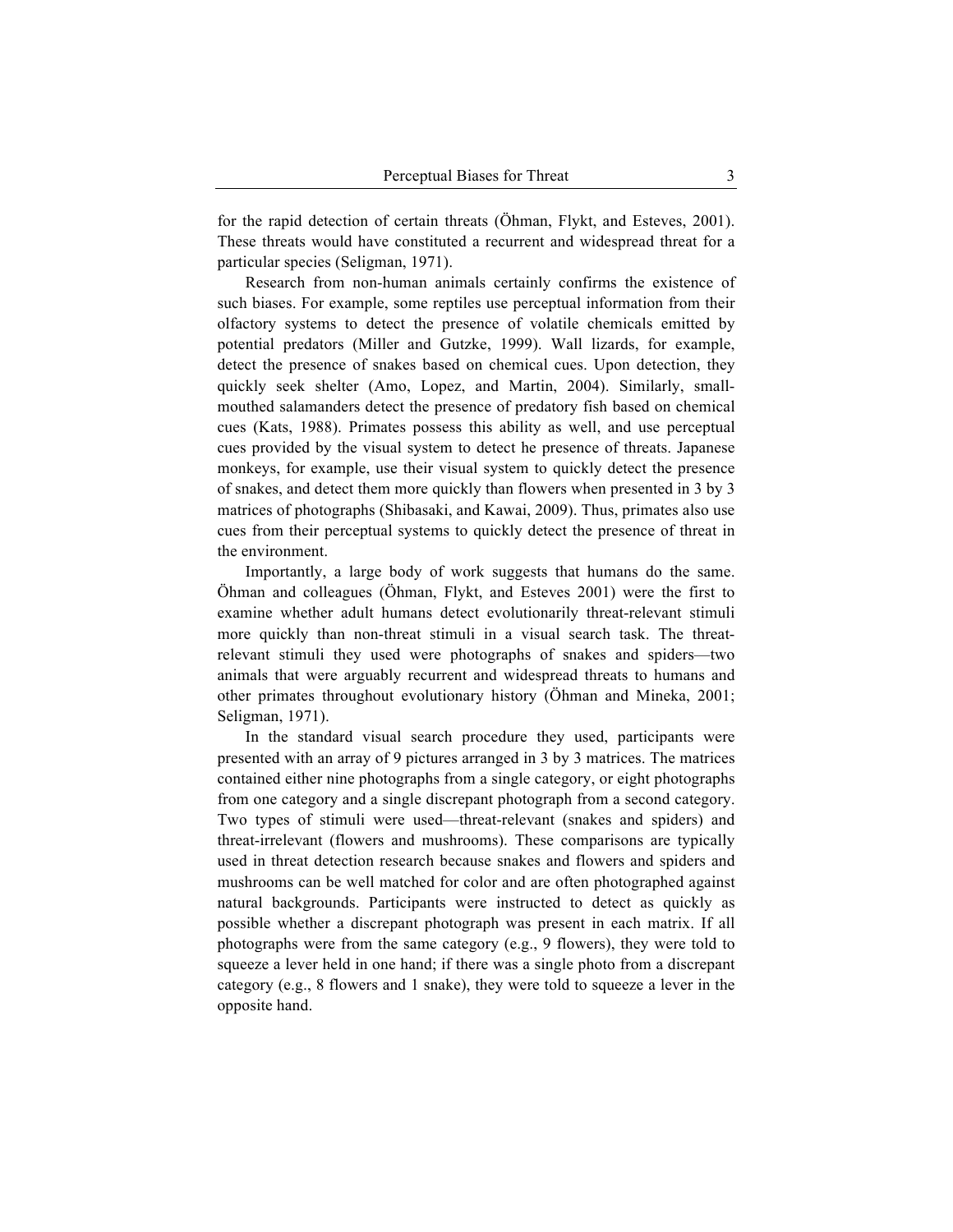for the rapid detection of certain threats (Öhman, Flykt, and Esteves, 2001). These threats would have constituted a recurrent and widespread threat for a particular species (Seligman, 1971).

Research from non-human animals certainly confirms the existence of such biases. For example, some reptiles use perceptual information from their olfactory systems to detect the presence of volatile chemicals emitted by potential predators (Miller and Gutzke, 1999). Wall lizards, for example, detect the presence of snakes based on chemical cues. Upon detection, they quickly seek shelter (Amo, Lopez, and Martin, 2004). Similarly, smallmouthed salamanders detect the presence of predatory fish based on chemical cues (Kats, 1988). Primates possess this ability as well, and use perceptual cues provided by the visual system to detect he presence of threats. Japanese monkeys, for example, use their visual system to quickly detect the presence of snakes, and detect them more quickly than flowers when presented in 3 by 3 matrices of photographs (Shibasaki, and Kawai, 2009). Thus, primates also use cues from their perceptual systems to quickly detect the presence of threat in the environment.

Importantly, a large body of work suggests that humans do the same. Öhman and colleagues (Öhman, Flykt, and Esteves 2001) were the first to examine whether adult humans detect evolutionarily threat-relevant stimuli more quickly than non-threat stimuli in a visual search task. The threatrelevant stimuli they used were photographs of snakes and spiders—two animals that were arguably recurrent and widespread threats to humans and other primates throughout evolutionary history (Öhman and Mineka, 2001; Seligman, 1971).

In the standard visual search procedure they used, participants were presented with an array of 9 pictures arranged in 3 by 3 matrices. The matrices contained either nine photographs from a single category, or eight photographs from one category and a single discrepant photograph from a second category. Two types of stimuli were used—threat-relevant (snakes and spiders) and threat-irrelevant (flowers and mushrooms). These comparisons are typically used in threat detection research because snakes and flowers and spiders and mushrooms can be well matched for color and are often photographed against natural backgrounds. Participants were instructed to detect as quickly as possible whether a discrepant photograph was present in each matrix. If all photographs were from the same category (e.g., 9 flowers), they were told to squeeze a lever held in one hand; if there was a single photo from a discrepant category (e.g., 8 flowers and 1 snake), they were told to squeeze a lever in the opposite hand.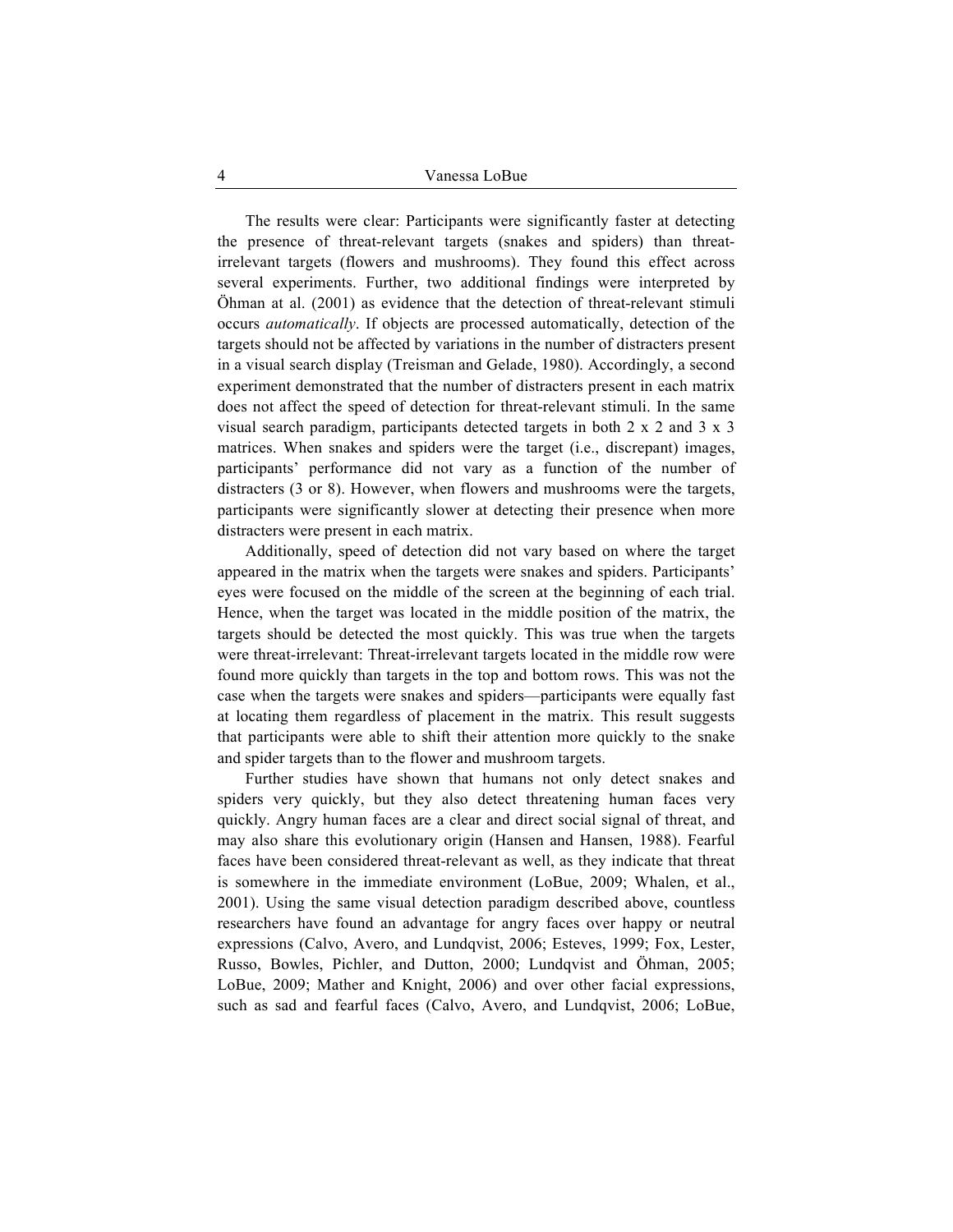The results were clear: Participants were significantly faster at detecting the presence of threat-relevant targets (snakes and spiders) than threatirrelevant targets (flowers and mushrooms). They found this effect across several experiments. Further, two additional findings were interpreted by Öhman at al. (2001) as evidence that the detection of threat-relevant stimuli occurs *automatically*. If objects are processed automatically, detection of the targets should not be affected by variations in the number of distracters present in a visual search display (Treisman and Gelade, 1980). Accordingly, a second experiment demonstrated that the number of distracters present in each matrix does not affect the speed of detection for threat-relevant stimuli. In the same visual search paradigm, participants detected targets in both 2 x 2 and 3 x 3 matrices. When snakes and spiders were the target (i.e., discrepant) images, participants' performance did not vary as a function of the number of distracters (3 or 8). However, when flowers and mushrooms were the targets, participants were significantly slower at detecting their presence when more distracters were present in each matrix.

Additionally, speed of detection did not vary based on where the target appeared in the matrix when the targets were snakes and spiders. Participants' eyes were focused on the middle of the screen at the beginning of each trial. Hence, when the target was located in the middle position of the matrix, the targets should be detected the most quickly. This was true when the targets were threat-irrelevant: Threat-irrelevant targets located in the middle row were found more quickly than targets in the top and bottom rows. This was not the case when the targets were snakes and spiders—participants were equally fast at locating them regardless of placement in the matrix. This result suggests that participants were able to shift their attention more quickly to the snake and spider targets than to the flower and mushroom targets.

Further studies have shown that humans not only detect snakes and spiders very quickly, but they also detect threatening human faces very quickly. Angry human faces are a clear and direct social signal of threat, and may also share this evolutionary origin (Hansen and Hansen, 1988). Fearful faces have been considered threat-relevant as well, as they indicate that threat is somewhere in the immediate environment (LoBue, 2009; Whalen, et al., 2001). Using the same visual detection paradigm described above, countless researchers have found an advantage for angry faces over happy or neutral expressions (Calvo, Avero, and Lundqvist, 2006; Esteves, 1999; Fox, Lester, Russo, Bowles, Pichler, and Dutton, 2000; Lundqvist and Öhman, 2005; LoBue, 2009; Mather and Knight, 2006) and over other facial expressions, such as sad and fearful faces (Calvo, Avero, and Lundqvist, 2006; LoBue,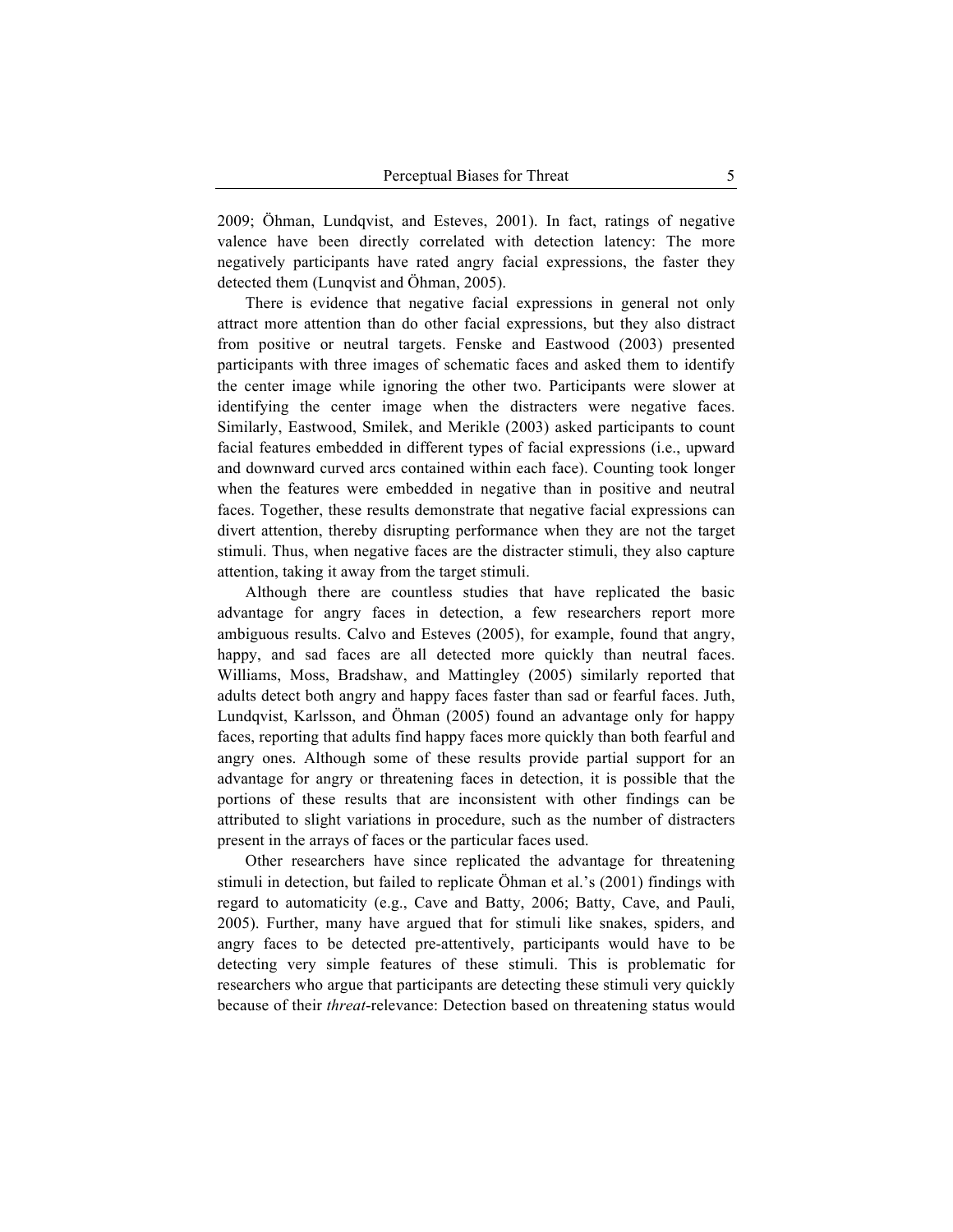2009; Öhman, Lundqvist, and Esteves, 2001). In fact, ratings of negative valence have been directly correlated with detection latency: The more negatively participants have rated angry facial expressions, the faster they detected them (Lunqvist and Öhman, 2005).

There is evidence that negative facial expressions in general not only attract more attention than do other facial expressions, but they also distract from positive or neutral targets. Fenske and Eastwood (2003) presented participants with three images of schematic faces and asked them to identify the center image while ignoring the other two. Participants were slower at identifying the center image when the distracters were negative faces. Similarly, Eastwood, Smilek, and Merikle (2003) asked participants to count facial features embedded in different types of facial expressions (i.e., upward and downward curved arcs contained within each face). Counting took longer when the features were embedded in negative than in positive and neutral faces. Together, these results demonstrate that negative facial expressions can divert attention, thereby disrupting performance when they are not the target stimuli. Thus, when negative faces are the distracter stimuli, they also capture attention, taking it away from the target stimuli.

Although there are countless studies that have replicated the basic advantage for angry faces in detection, a few researchers report more ambiguous results. Calvo and Esteves (2005), for example, found that angry, happy, and sad faces are all detected more quickly than neutral faces. Williams, Moss, Bradshaw, and Mattingley (2005) similarly reported that adults detect both angry and happy faces faster than sad or fearful faces. Juth, Lundqvist, Karlsson, and Öhman (2005) found an advantage only for happy faces, reporting that adults find happy faces more quickly than both fearful and angry ones. Although some of these results provide partial support for an advantage for angry or threatening faces in detection, it is possible that the portions of these results that are inconsistent with other findings can be attributed to slight variations in procedure, such as the number of distracters present in the arrays of faces or the particular faces used.

Other researchers have since replicated the advantage for threatening stimuli in detection, but failed to replicate Öhman et al.'s (2001) findings with regard to automaticity (e.g., Cave and Batty, 2006; Batty, Cave, and Pauli, 2005). Further, many have argued that for stimuli like snakes, spiders, and angry faces to be detected pre-attentively, participants would have to be detecting very simple features of these stimuli. This is problematic for researchers who argue that participants are detecting these stimuli very quickly because of their *threat*-relevance: Detection based on threatening status would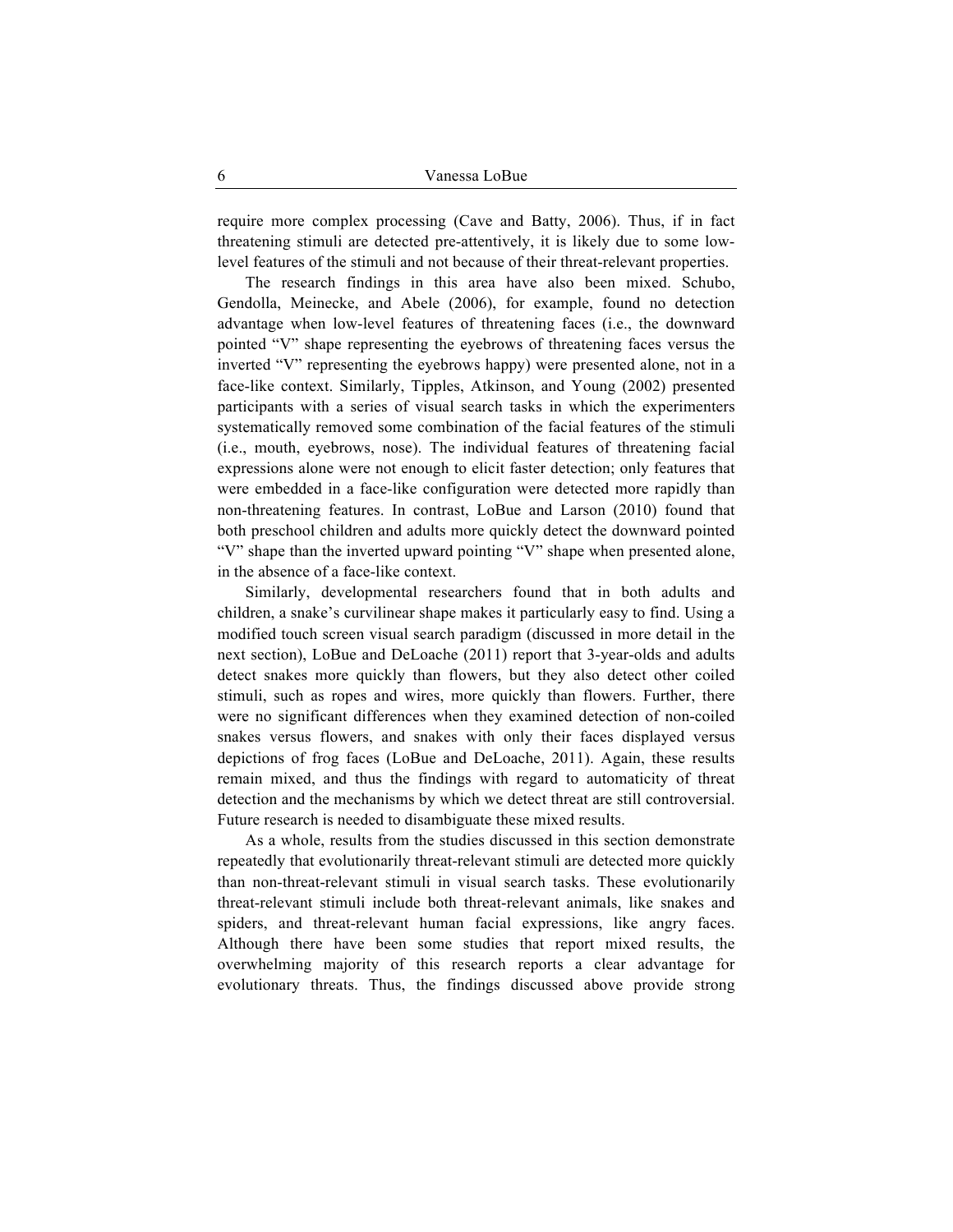require more complex processing (Cave and Batty, 2006). Thus, if in fact threatening stimuli are detected pre-attentively, it is likely due to some lowlevel features of the stimuli and not because of their threat-relevant properties.

The research findings in this area have also been mixed. Schubo, Gendolla, Meinecke, and Abele (2006), for example, found no detection advantage when low-level features of threatening faces (i.e., the downward pointed "V" shape representing the eyebrows of threatening faces versus the inverted "V" representing the eyebrows happy) were presented alone, not in a face-like context. Similarly, Tipples, Atkinson, and Young (2002) presented participants with a series of visual search tasks in which the experimenters systematically removed some combination of the facial features of the stimuli (i.e., mouth, eyebrows, nose). The individual features of threatening facial expressions alone were not enough to elicit faster detection; only features that were embedded in a face-like configuration were detected more rapidly than non-threatening features. In contrast, LoBue and Larson (2010) found that both preschool children and adults more quickly detect the downward pointed "V" shape than the inverted upward pointing "V" shape when presented alone, in the absence of a face-like context.

Similarly, developmental researchers found that in both adults and children, a snake's curvilinear shape makes it particularly easy to find. Using a modified touch screen visual search paradigm (discussed in more detail in the next section), LoBue and DeLoache (2011) report that 3-year-olds and adults detect snakes more quickly than flowers, but they also detect other coiled stimuli, such as ropes and wires, more quickly than flowers. Further, there were no significant differences when they examined detection of non-coiled snakes versus flowers, and snakes with only their faces displayed versus depictions of frog faces (LoBue and DeLoache, 2011). Again, these results remain mixed, and thus the findings with regard to automaticity of threat detection and the mechanisms by which we detect threat are still controversial. Future research is needed to disambiguate these mixed results.

As a whole, results from the studies discussed in this section demonstrate repeatedly that evolutionarily threat-relevant stimuli are detected more quickly than non-threat-relevant stimuli in visual search tasks. These evolutionarily threat-relevant stimuli include both threat-relevant animals, like snakes and spiders, and threat-relevant human facial expressions, like angry faces. Although there have been some studies that report mixed results, the overwhelming majority of this research reports a clear advantage for evolutionary threats. Thus, the findings discussed above provide strong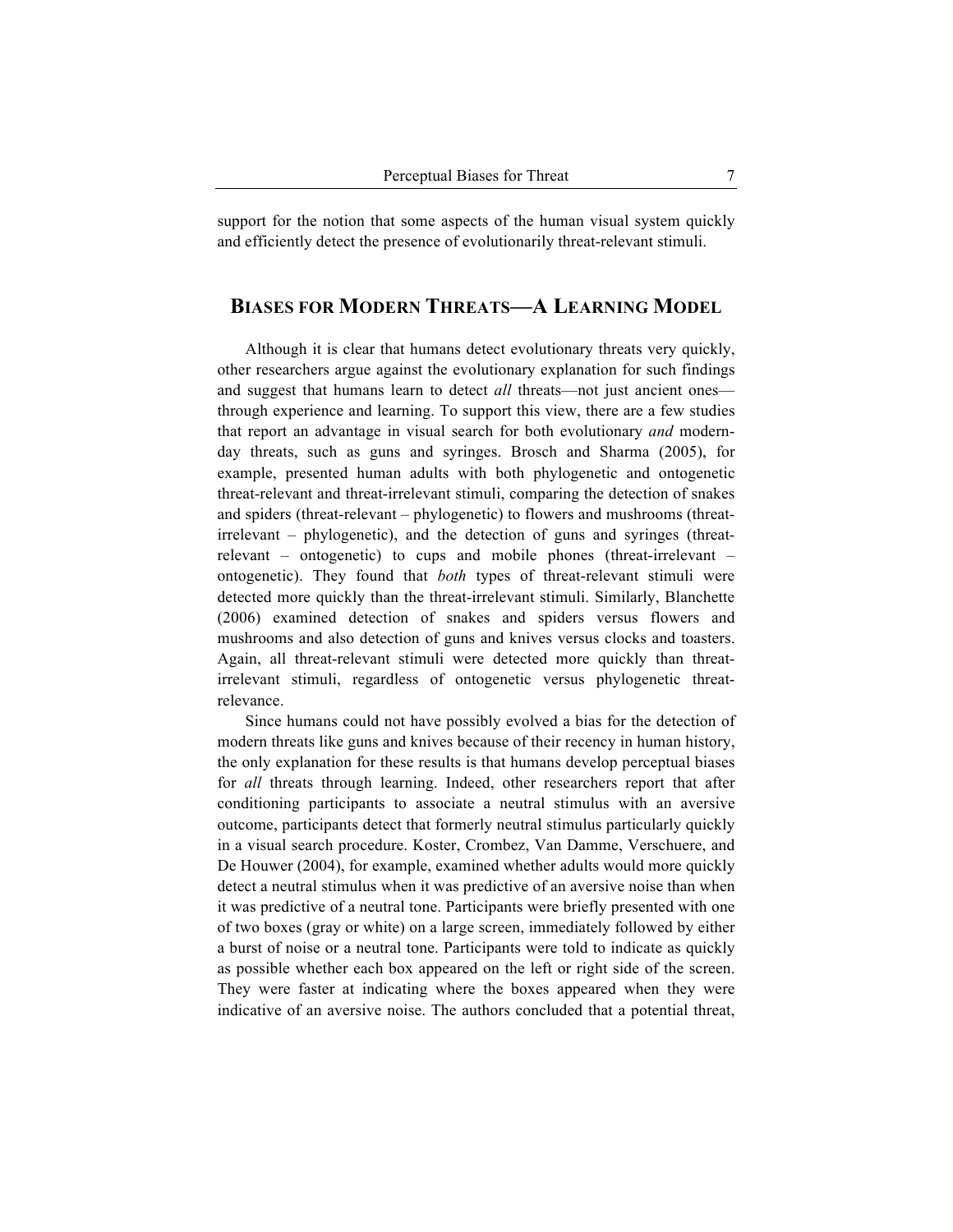support for the notion that some aspects of the human visual system quickly and efficiently detect the presence of evolutionarily threat-relevant stimuli.

# **BIASES FOR MODERN THREATS—A LEARNING MODEL**

Although it is clear that humans detect evolutionary threats very quickly, other researchers argue against the evolutionary explanation for such findings and suggest that humans learn to detect *all* threats—not just ancient ones through experience and learning. To support this view, there are a few studies that report an advantage in visual search for both evolutionary *and* modernday threats, such as guns and syringes. Brosch and Sharma (2005), for example, presented human adults with both phylogenetic and ontogenetic threat-relevant and threat-irrelevant stimuli, comparing the detection of snakes and spiders (threat-relevant – phylogenetic) to flowers and mushrooms (threatirrelevant – phylogenetic), and the detection of guns and syringes (threatrelevant – ontogenetic) to cups and mobile phones (threat-irrelevant – ontogenetic). They found that *both* types of threat-relevant stimuli were detected more quickly than the threat-irrelevant stimuli. Similarly, Blanchette (2006) examined detection of snakes and spiders versus flowers and mushrooms and also detection of guns and knives versus clocks and toasters. Again, all threat-relevant stimuli were detected more quickly than threatirrelevant stimuli, regardless of ontogenetic versus phylogenetic threatrelevance.

Since humans could not have possibly evolved a bias for the detection of modern threats like guns and knives because of their recency in human history, the only explanation for these results is that humans develop perceptual biases for *all* threats through learning. Indeed, other researchers report that after conditioning participants to associate a neutral stimulus with an aversive outcome, participants detect that formerly neutral stimulus particularly quickly in a visual search procedure. Koster, Crombez, Van Damme, Verschuere, and De Houwer (2004), for example, examined whether adults would more quickly detect a neutral stimulus when it was predictive of an aversive noise than when it was predictive of a neutral tone. Participants were briefly presented with one of two boxes (gray or white) on a large screen, immediately followed by either a burst of noise or a neutral tone. Participants were told to indicate as quickly as possible whether each box appeared on the left or right side of the screen. They were faster at indicating where the boxes appeared when they were indicative of an aversive noise. The authors concluded that a potential threat,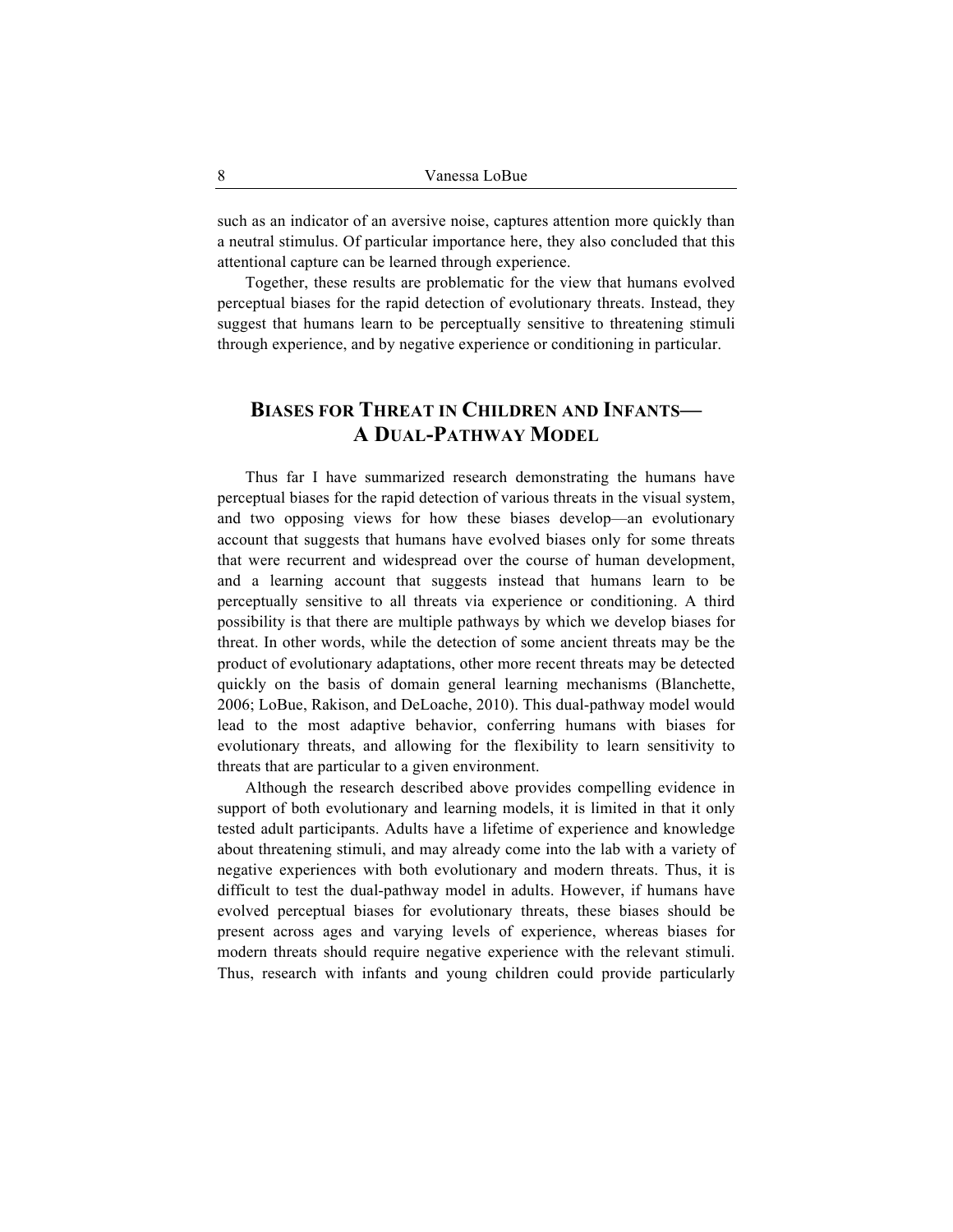such as an indicator of an aversive noise, captures attention more quickly than a neutral stimulus. Of particular importance here, they also concluded that this attentional capture can be learned through experience.

Together, these results are problematic for the view that humans evolved perceptual biases for the rapid detection of evolutionary threats. Instead, they suggest that humans learn to be perceptually sensitive to threatening stimuli through experience, and by negative experience or conditioning in particular.

# **BIASES FOR THREAT IN CHILDREN AND INFANTS— A DUAL-PATHWAY MODEL**

Thus far I have summarized research demonstrating the humans have perceptual biases for the rapid detection of various threats in the visual system, and two opposing views for how these biases develop—an evolutionary account that suggests that humans have evolved biases only for some threats that were recurrent and widespread over the course of human development, and a learning account that suggests instead that humans learn to be perceptually sensitive to all threats via experience or conditioning. A third possibility is that there are multiple pathways by which we develop biases for threat. In other words, while the detection of some ancient threats may be the product of evolutionary adaptations, other more recent threats may be detected quickly on the basis of domain general learning mechanisms (Blanchette, 2006; LoBue, Rakison, and DeLoache, 2010). This dual-pathway model would lead to the most adaptive behavior, conferring humans with biases for evolutionary threats, and allowing for the flexibility to learn sensitivity to threats that are particular to a given environment.

Although the research described above provides compelling evidence in support of both evolutionary and learning models, it is limited in that it only tested adult participants. Adults have a lifetime of experience and knowledge about threatening stimuli, and may already come into the lab with a variety of negative experiences with both evolutionary and modern threats. Thus, it is difficult to test the dual-pathway model in adults. However, if humans have evolved perceptual biases for evolutionary threats, these biases should be present across ages and varying levels of experience, whereas biases for modern threats should require negative experience with the relevant stimuli. Thus, research with infants and young children could provide particularly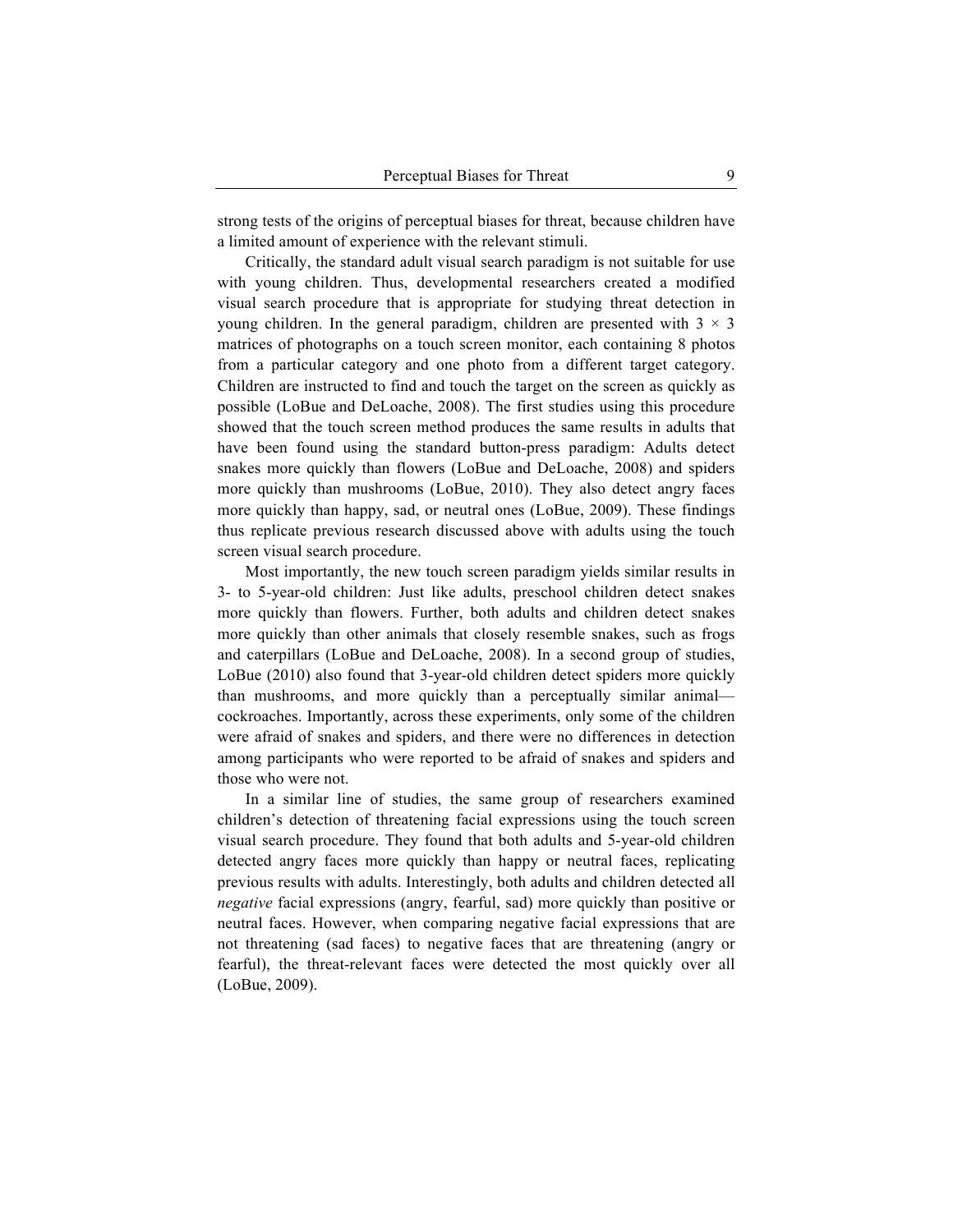strong tests of the origins of perceptual biases for threat, because children have a limited amount of experience with the relevant stimuli.

Critically, the standard adult visual search paradigm is not suitable for use with young children. Thus, developmental researchers created a modified visual search procedure that is appropriate for studying threat detection in young children. In the general paradigm, children are presented with  $3 \times 3$ matrices of photographs on a touch screen monitor, each containing 8 photos from a particular category and one photo from a different target category. Children are instructed to find and touch the target on the screen as quickly as possible (LoBue and DeLoache, 2008). The first studies using this procedure showed that the touch screen method produces the same results in adults that have been found using the standard button-press paradigm: Adults detect snakes more quickly than flowers (LoBue and DeLoache, 2008) and spiders more quickly than mushrooms (LoBue, 2010). They also detect angry faces more quickly than happy, sad, or neutral ones (LoBue, 2009). These findings thus replicate previous research discussed above with adults using the touch screen visual search procedure.

Most importantly, the new touch screen paradigm yields similar results in 3- to 5-year-old children: Just like adults, preschool children detect snakes more quickly than flowers. Further, both adults and children detect snakes more quickly than other animals that closely resemble snakes, such as frogs and caterpillars (LoBue and DeLoache, 2008). In a second group of studies, LoBue (2010) also found that 3-year-old children detect spiders more quickly than mushrooms, and more quickly than a perceptually similar animal cockroaches. Importantly, across these experiments, only some of the children were afraid of snakes and spiders, and there were no differences in detection among participants who were reported to be afraid of snakes and spiders and those who were not.

In a similar line of studies, the same group of researchers examined children's detection of threatening facial expressions using the touch screen visual search procedure. They found that both adults and 5-year-old children detected angry faces more quickly than happy or neutral faces, replicating previous results with adults. Interestingly, both adults and children detected all *negative* facial expressions (angry, fearful, sad) more quickly than positive or neutral faces. However, when comparing negative facial expressions that are not threatening (sad faces) to negative faces that are threatening (angry or fearful), the threat-relevant faces were detected the most quickly over all (LoBue, 2009).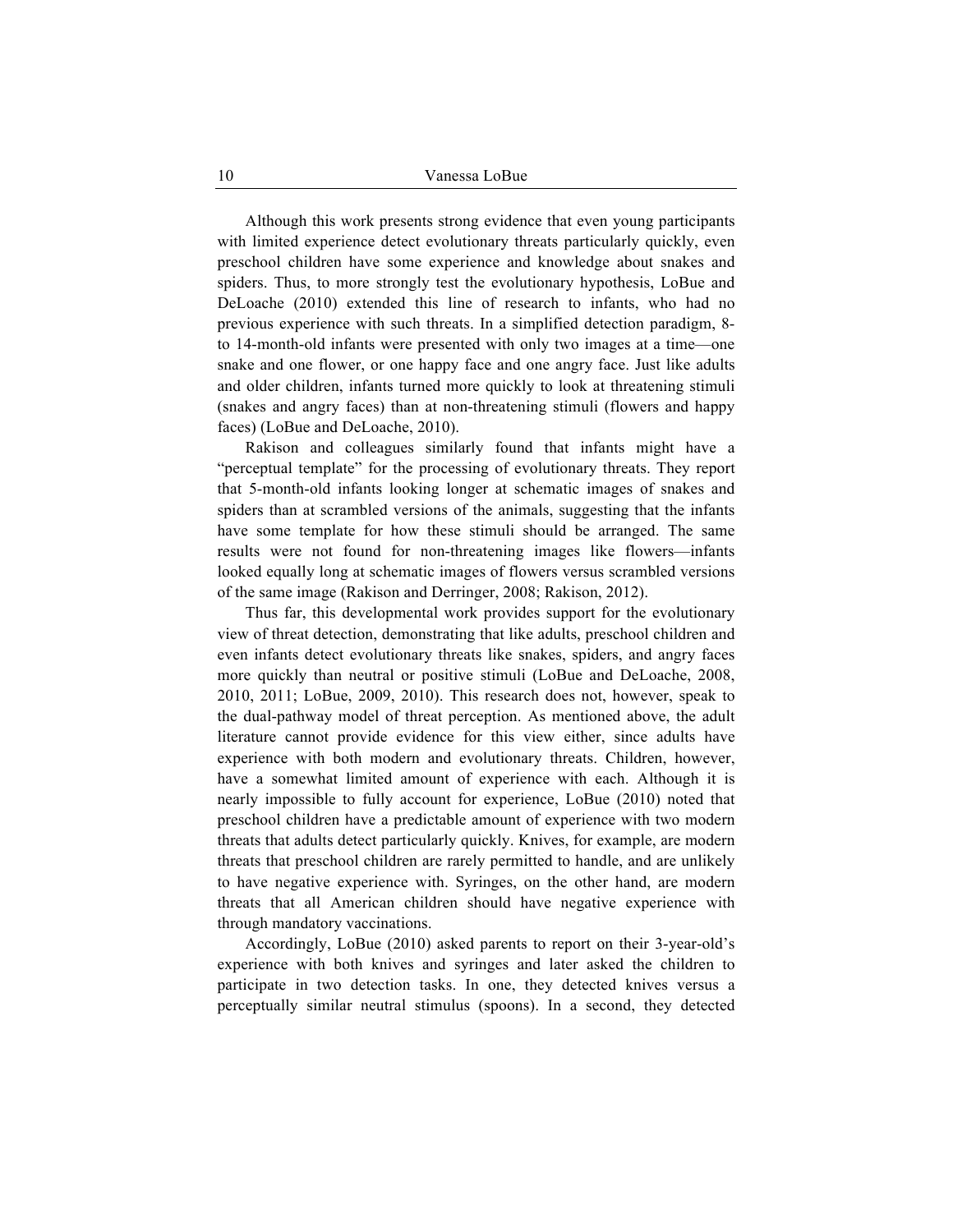Although this work presents strong evidence that even young participants with limited experience detect evolutionary threats particularly quickly, even preschool children have some experience and knowledge about snakes and spiders. Thus, to more strongly test the evolutionary hypothesis, LoBue and DeLoache (2010) extended this line of research to infants, who had no previous experience with such threats. In a simplified detection paradigm, 8 to 14-month-old infants were presented with only two images at a time—one snake and one flower, or one happy face and one angry face. Just like adults and older children, infants turned more quickly to look at threatening stimuli (snakes and angry faces) than at non-threatening stimuli (flowers and happy faces) (LoBue and DeLoache, 2010).

Rakison and colleagues similarly found that infants might have a "perceptual template" for the processing of evolutionary threats. They report that 5-month-old infants looking longer at schematic images of snakes and spiders than at scrambled versions of the animals, suggesting that the infants have some template for how these stimuli should be arranged. The same results were not found for non-threatening images like flowers—infants looked equally long at schematic images of flowers versus scrambled versions of the same image (Rakison and Derringer, 2008; Rakison, 2012).

Thus far, this developmental work provides support for the evolutionary view of threat detection, demonstrating that like adults, preschool children and even infants detect evolutionary threats like snakes, spiders, and angry faces more quickly than neutral or positive stimuli (LoBue and DeLoache, 2008, 2010, 2011; LoBue, 2009, 2010). This research does not, however, speak to the dual-pathway model of threat perception. As mentioned above, the adult literature cannot provide evidence for this view either, since adults have experience with both modern and evolutionary threats. Children, however, have a somewhat limited amount of experience with each. Although it is nearly impossible to fully account for experience, LoBue (2010) noted that preschool children have a predictable amount of experience with two modern threats that adults detect particularly quickly. Knives, for example, are modern threats that preschool children are rarely permitted to handle, and are unlikely to have negative experience with. Syringes, on the other hand, are modern threats that all American children should have negative experience with through mandatory vaccinations.

Accordingly, LoBue (2010) asked parents to report on their 3-year-old's experience with both knives and syringes and later asked the children to participate in two detection tasks. In one, they detected knives versus a perceptually similar neutral stimulus (spoons). In a second, they detected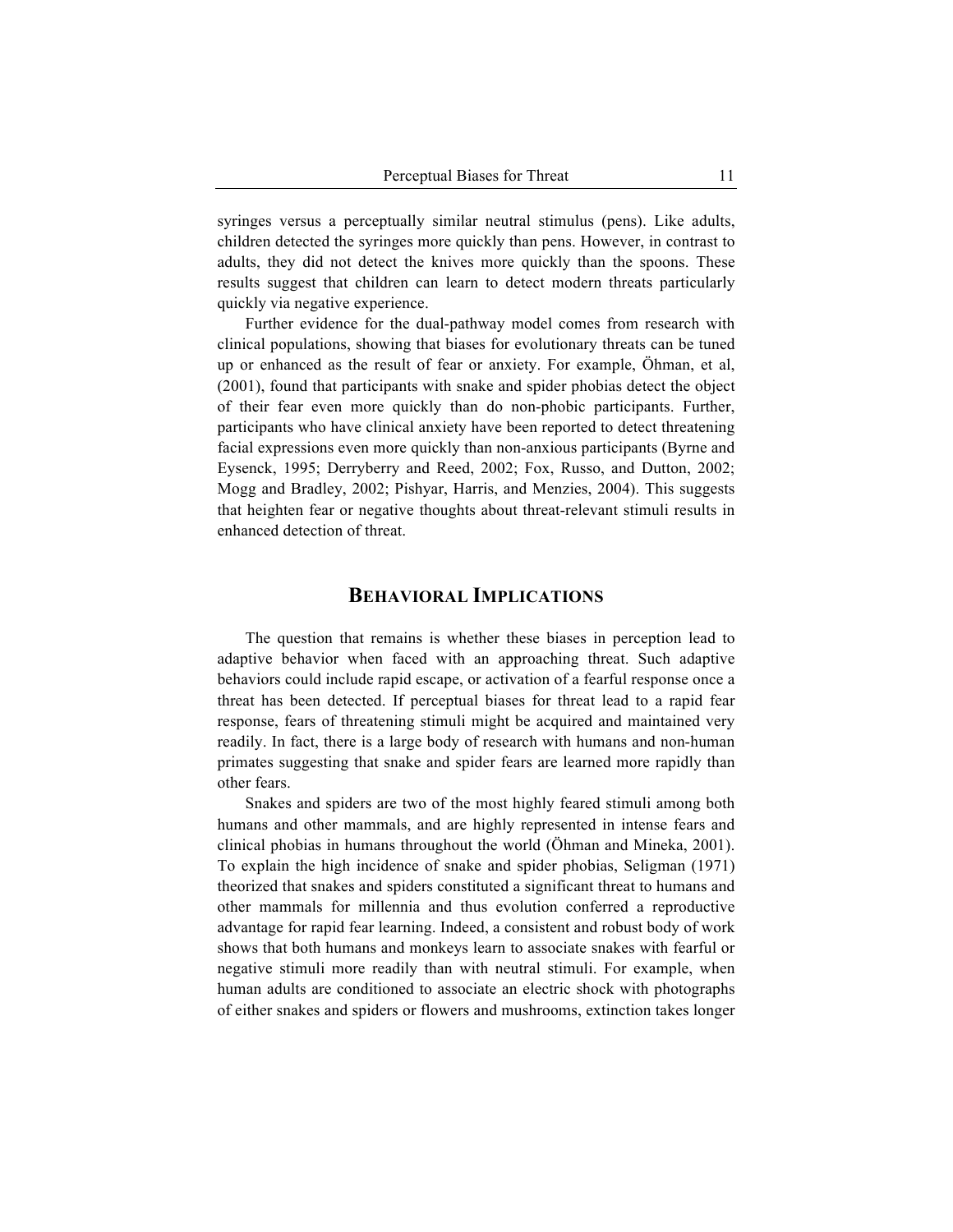syringes versus a perceptually similar neutral stimulus (pens). Like adults, children detected the syringes more quickly than pens. However, in contrast to adults, they did not detect the knives more quickly than the spoons. These results suggest that children can learn to detect modern threats particularly quickly via negative experience.

Further evidence for the dual-pathway model comes from research with clinical populations, showing that biases for evolutionary threats can be tuned up or enhanced as the result of fear or anxiety. For example, Öhman, et al, (2001), found that participants with snake and spider phobias detect the object of their fear even more quickly than do non-phobic participants. Further, participants who have clinical anxiety have been reported to detect threatening facial expressions even more quickly than non-anxious participants (Byrne and Eysenck, 1995; Derryberry and Reed, 2002; Fox, Russo, and Dutton, 2002; Mogg and Bradley, 2002; Pishyar, Harris, and Menzies, 2004). This suggests that heighten fear or negative thoughts about threat-relevant stimuli results in enhanced detection of threat.

#### **BEHAVIORAL IMPLICATIONS**

The question that remains is whether these biases in perception lead to adaptive behavior when faced with an approaching threat. Such adaptive behaviors could include rapid escape, or activation of a fearful response once a threat has been detected. If perceptual biases for threat lead to a rapid fear response, fears of threatening stimuli might be acquired and maintained very readily. In fact, there is a large body of research with humans and non-human primates suggesting that snake and spider fears are learned more rapidly than other fears.

Snakes and spiders are two of the most highly feared stimuli among both humans and other mammals, and are highly represented in intense fears and clinical phobias in humans throughout the world (Öhman and Mineka, 2001). To explain the high incidence of snake and spider phobias, Seligman (1971) theorized that snakes and spiders constituted a significant threat to humans and other mammals for millennia and thus evolution conferred a reproductive advantage for rapid fear learning. Indeed, a consistent and robust body of work shows that both humans and monkeys learn to associate snakes with fearful or negative stimuli more readily than with neutral stimuli. For example, when human adults are conditioned to associate an electric shock with photographs of either snakes and spiders or flowers and mushrooms, extinction takes longer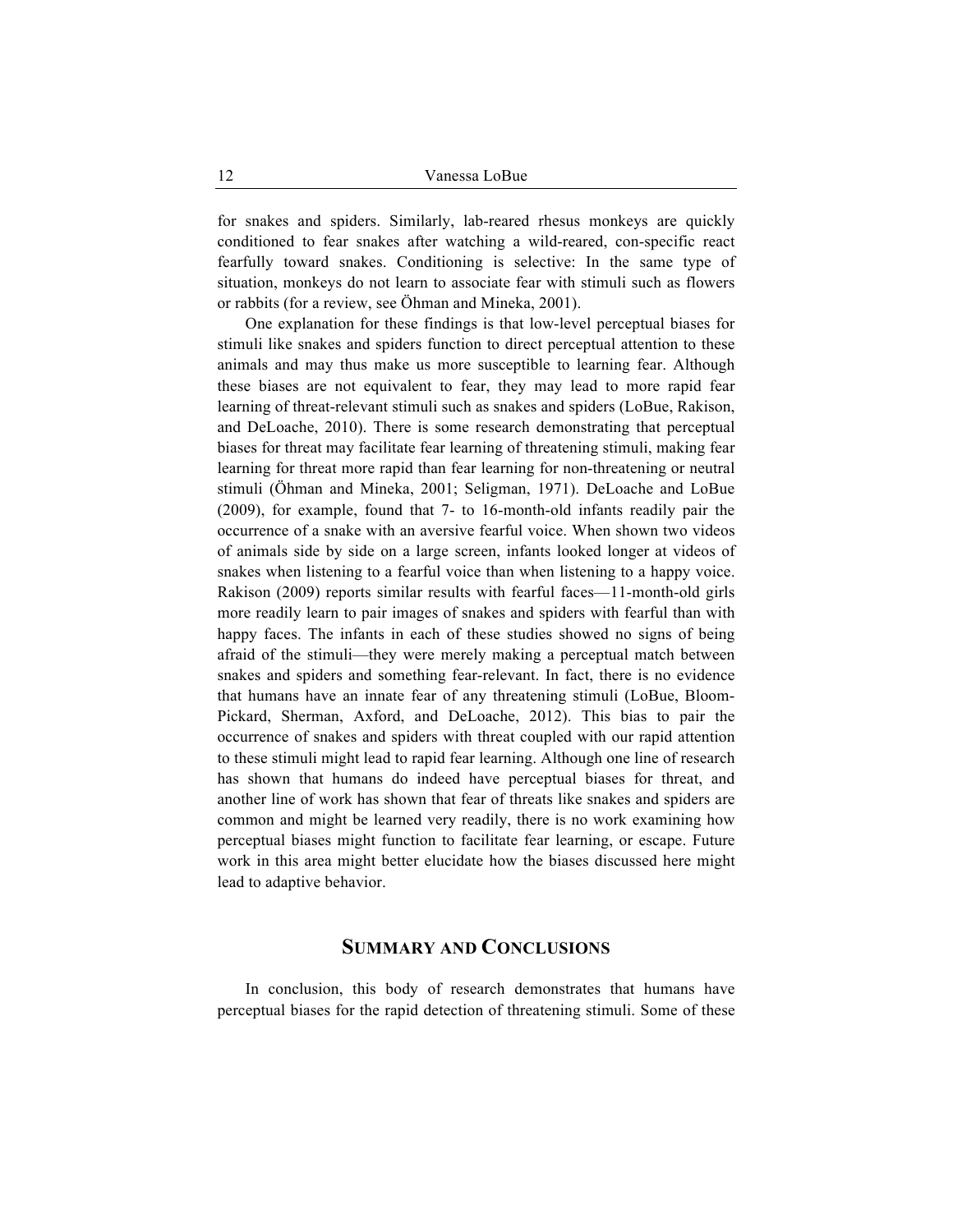for snakes and spiders. Similarly, lab-reared rhesus monkeys are quickly conditioned to fear snakes after watching a wild-reared, con-specific react fearfully toward snakes. Conditioning is selective: In the same type of situation, monkeys do not learn to associate fear with stimuli such as flowers or rabbits (for a review, see Öhman and Mineka, 2001).

One explanation for these findings is that low-level perceptual biases for stimuli like snakes and spiders function to direct perceptual attention to these animals and may thus make us more susceptible to learning fear. Although these biases are not equivalent to fear, they may lead to more rapid fear learning of threat-relevant stimuli such as snakes and spiders (LoBue, Rakison, and DeLoache, 2010). There is some research demonstrating that perceptual biases for threat may facilitate fear learning of threatening stimuli, making fear learning for threat more rapid than fear learning for non-threatening or neutral stimuli (Öhman and Mineka, 2001; Seligman, 1971). DeLoache and LoBue (2009), for example, found that 7- to 16-month-old infants readily pair the occurrence of a snake with an aversive fearful voice. When shown two videos of animals side by side on a large screen, infants looked longer at videos of snakes when listening to a fearful voice than when listening to a happy voice. Rakison (2009) reports similar results with fearful faces—11-month-old girls more readily learn to pair images of snakes and spiders with fearful than with happy faces. The infants in each of these studies showed no signs of being afraid of the stimuli—they were merely making a perceptual match between snakes and spiders and something fear-relevant. In fact, there is no evidence that humans have an innate fear of any threatening stimuli (LoBue, Bloom-Pickard, Sherman, Axford, and DeLoache, 2012). This bias to pair the occurrence of snakes and spiders with threat coupled with our rapid attention to these stimuli might lead to rapid fear learning. Although one line of research has shown that humans do indeed have perceptual biases for threat, and another line of work has shown that fear of threats like snakes and spiders are common and might be learned very readily, there is no work examining how perceptual biases might function to facilitate fear learning, or escape. Future work in this area might better elucidate how the biases discussed here might lead to adaptive behavior.

## **SUMMARY AND CONCLUSIONS**

In conclusion, this body of research demonstrates that humans have perceptual biases for the rapid detection of threatening stimuli. Some of these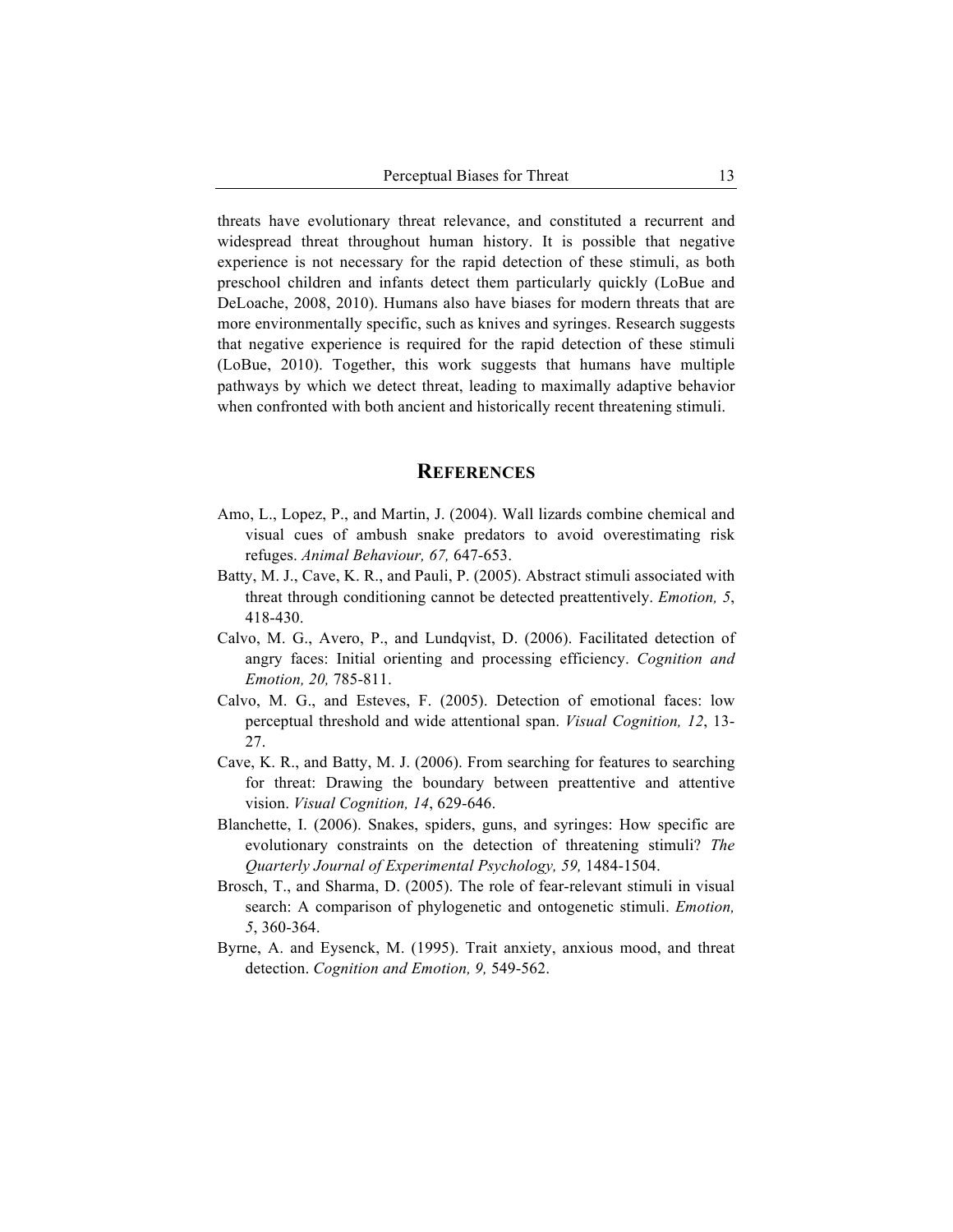threats have evolutionary threat relevance, and constituted a recurrent and widespread threat throughout human history. It is possible that negative experience is not necessary for the rapid detection of these stimuli, as both preschool children and infants detect them particularly quickly (LoBue and DeLoache, 2008, 2010). Humans also have biases for modern threats that are more environmentally specific, such as knives and syringes. Research suggests that negative experience is required for the rapid detection of these stimuli (LoBue, 2010). Together, this work suggests that humans have multiple pathways by which we detect threat, leading to maximally adaptive behavior when confronted with both ancient and historically recent threatening stimuli.

### **REFERENCES**

- Amo, L., Lopez, P., and Martin, J. (2004). Wall lizards combine chemical and visual cues of ambush snake predators to avoid overestimating risk refuges. *Animal Behaviour, 67,* 647-653.
- Batty, M. J., Cave, K. R., and Pauli, P. (2005). Abstract stimuli associated with threat through conditioning cannot be detected preattentively. *Emotion, 5*, 418-430.
- Calvo, M. G., Avero, P., and Lundqvist, D. (2006). Facilitated detection of angry faces: Initial orienting and processing efficiency. *Cognition and Emotion, 20,* 785-811.
- Calvo, M. G., and Esteves, F. (2005). Detection of emotional faces: low perceptual threshold and wide attentional span. *Visual Cognition, 12*, 13- 27.
- Cave, K. R., and Batty, M. J. (2006). From searching for features to searching for threat: Drawing the boundary between preattentive and attentive vision. *Visual Cognition, 14*, 629-646.
- Blanchette, I. (2006). Snakes, spiders, guns, and syringes: How specific are evolutionary constraints on the detection of threatening stimuli? *The Quarterly Journal of Experimental Psychology, 59,* 1484-1504.
- Brosch, T., and Sharma, D. (2005). The role of fear-relevant stimuli in visual search: A comparison of phylogenetic and ontogenetic stimuli. *Emotion, 5*, 360-364.
- Byrne, A. and Eysenck, M. (1995). Trait anxiety, anxious mood, and threat detection. *Cognition and Emotion, 9,* 549-562.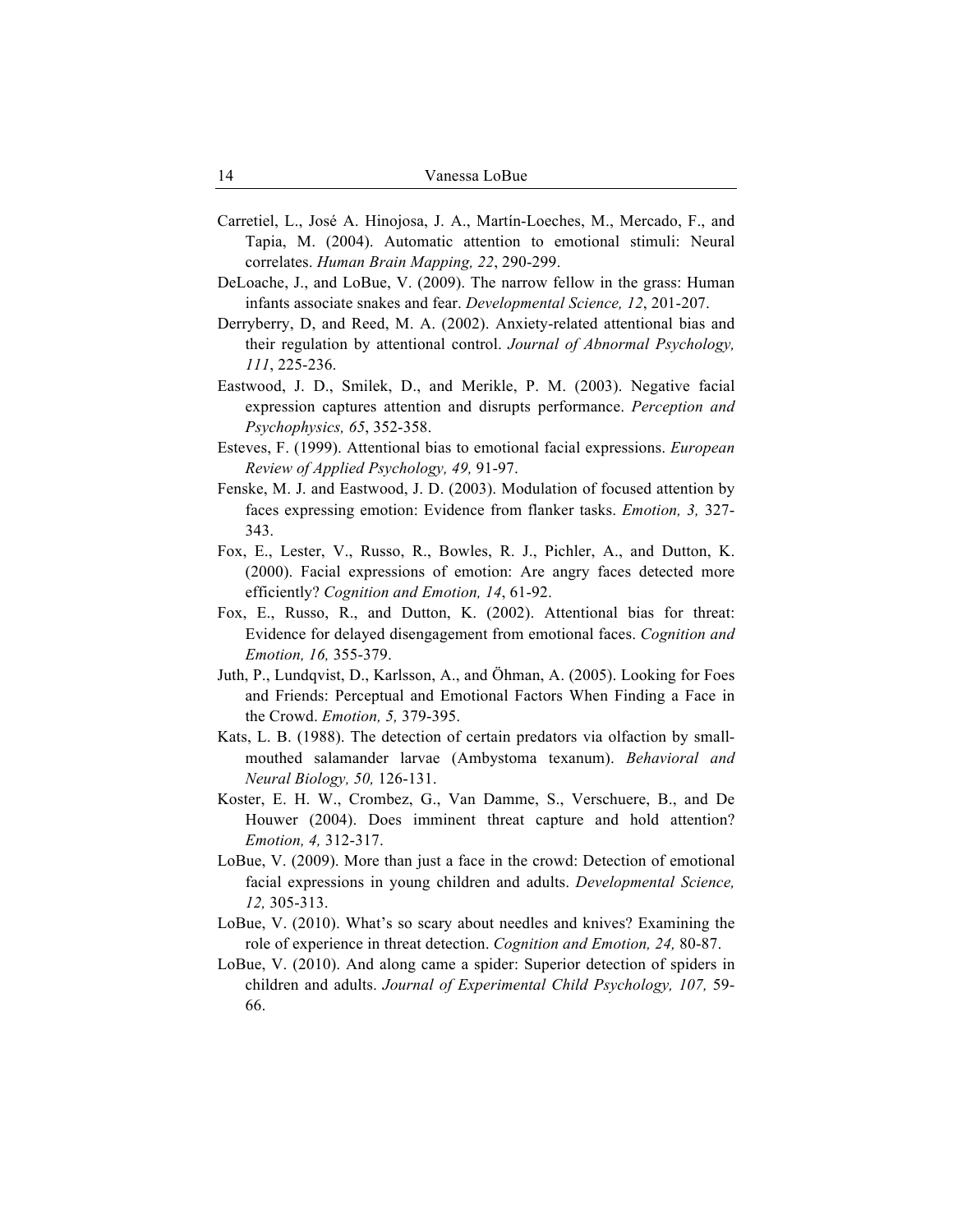- Carretiel, L., José A. Hinojosa, J. A., Martín-Loeches, M., Mercado, F., and Tapia, M. (2004). Automatic attention to emotional stimuli: Neural correlates. *Human Brain Mapping, 22*, 290-299.
- DeLoache, J., and LoBue, V. (2009). The narrow fellow in the grass: Human infants associate snakes and fear. *Developmental Science, 12*, 201-207.
- Derryberry, D, and Reed, M. A. (2002). Anxiety-related attentional bias and their regulation by attentional control. *Journal of Abnormal Psychology, 111*, 225-236.
- Eastwood, J. D., Smilek, D., and Merikle, P. M. (2003). Negative facial expression captures attention and disrupts performance. *Perception and Psychophysics, 65*, 352-358.
- Esteves, F. (1999). Attentional bias to emotional facial expressions. *European Review of Applied Psychology, 49,* 91-97.
- Fenske, M. J. and Eastwood, J. D. (2003). Modulation of focused attention by faces expressing emotion: Evidence from flanker tasks. *Emotion, 3,* 327- 343.
- Fox, E., Lester, V., Russo, R., Bowles, R. J., Pichler, A., and Dutton, K. (2000). Facial expressions of emotion: Are angry faces detected more efficiently? *Cognition and Emotion, 14*, 61-92.
- Fox, E., Russo, R., and Dutton, K. (2002). Attentional bias for threat: Evidence for delayed disengagement from emotional faces. *Cognition and Emotion, 16,* 355-379.
- Juth, P., Lundqvist, D., Karlsson, A., and Öhman, A. (2005). Looking for Foes and Friends: Perceptual and Emotional Factors When Finding a Face in the Crowd. *Emotion, 5,* 379-395.
- Kats, L. B. (1988). The detection of certain predators via olfaction by smallmouthed salamander larvae (Ambystoma texanum). *Behavioral and Neural Biology, 50,* 126-131.
- Koster, E. H. W., Crombez, G., Van Damme, S., Verschuere, B., and De Houwer (2004). Does imminent threat capture and hold attention? *Emotion, 4,* 312-317.
- LoBue, V. (2009). More than just a face in the crowd: Detection of emotional facial expressions in young children and adults. *Developmental Science, 12,* 305-313.
- LoBue, V. (2010). What's so scary about needles and knives? Examining the role of experience in threat detection. *Cognition and Emotion, 24,* 80-87.
- LoBue, V. (2010). And along came a spider: Superior detection of spiders in children and adults. *Journal of Experimental Child Psychology, 107,* 59- 66.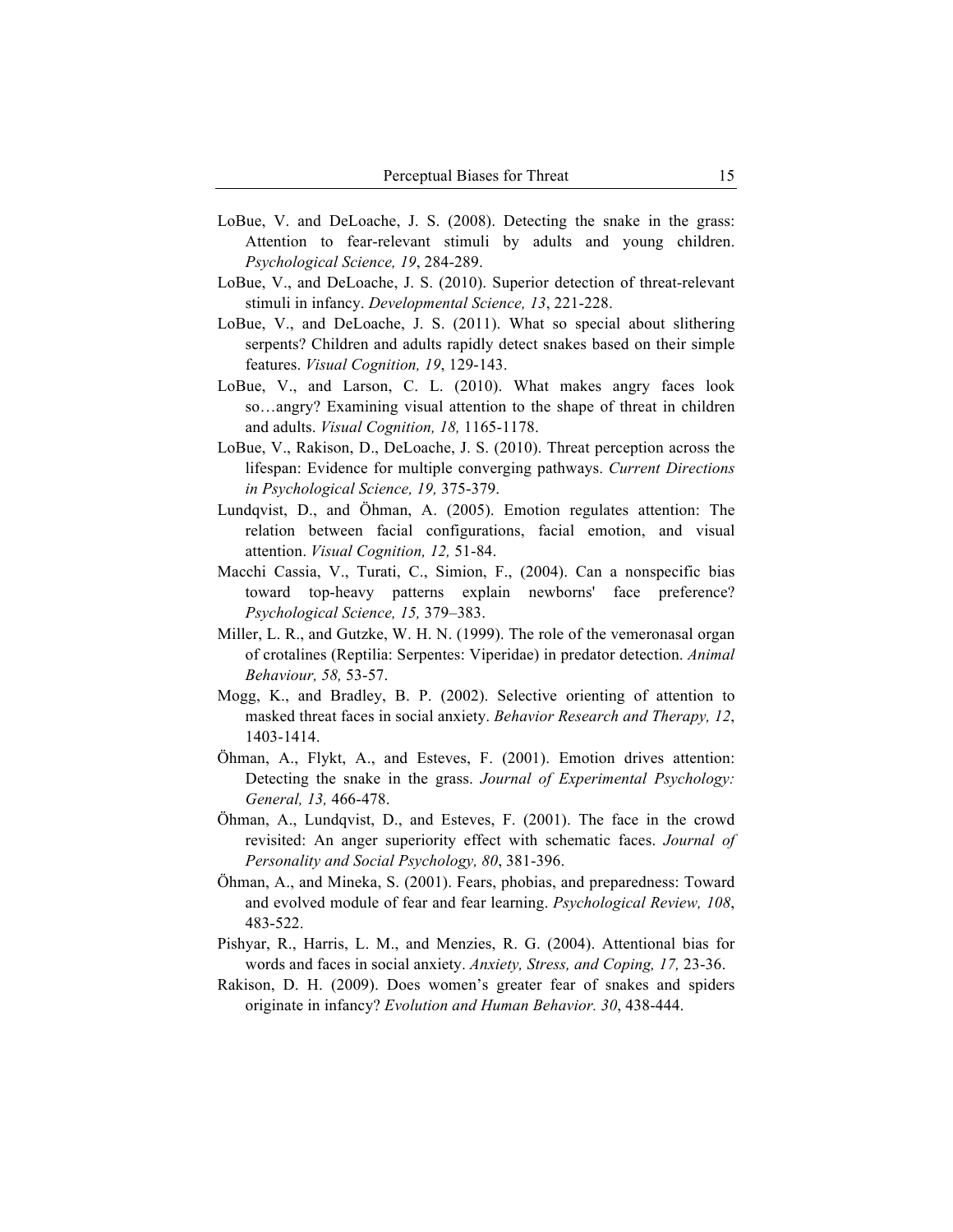- LoBue, V. and DeLoache, J. S. (2008). Detecting the snake in the grass: Attention to fear-relevant stimuli by adults and young children. *Psychological Science, 19*, 284-289.
- LoBue, V., and DeLoache, J. S. (2010). Superior detection of threat-relevant stimuli in infancy. *Developmental Science, 13*, 221-228.
- LoBue, V., and DeLoache, J. S. (2011). What so special about slithering serpents? Children and adults rapidly detect snakes based on their simple features. *Visual Cognition, 19*, 129-143.
- LoBue, V., and Larson, C. L. (2010). What makes angry faces look so…angry? Examining visual attention to the shape of threat in children and adults. *Visual Cognition, 18,* 1165-1178.
- LoBue, V., Rakison, D., DeLoache, J. S. (2010). Threat perception across the lifespan: Evidence for multiple converging pathways. *Current Directions in Psychological Science, 19,* 375-379.
- Lundqvist, D., and Öhman, A. (2005). Emotion regulates attention: The relation between facial configurations, facial emotion, and visual attention. *Visual Cognition, 12,* 51-84.
- Macchi Cassia, V., Turati, C., Simion, F., (2004). Can a nonspecific bias toward top-heavy patterns explain newborns' face preference? *Psychological Science, 15,* 379–383.
- Miller, L. R., and Gutzke, W. H. N. (1999). The role of the vemeronasal organ of crotalines (Reptilia: Serpentes: Viperidae) in predator detection. *Animal Behaviour, 58,* 53-57.
- Mogg, K., and Bradley, B. P. (2002). Selective orienting of attention to masked threat faces in social anxiety. *Behavior Research and Therapy, 12*, 1403-1414.
- Öhman, A., Flykt, A., and Esteves, F. (2001). Emotion drives attention: Detecting the snake in the grass. *Journal of Experimental Psychology: General, 13,* 466-478.
- Öhman, A., Lundqvist, D., and Esteves, F. (2001). The face in the crowd revisited: An anger superiority effect with schematic faces. *Journal of Personality and Social Psychology, 80*, 381-396.
- Öhman, A., and Mineka, S. (2001). Fears, phobias, and preparedness: Toward and evolved module of fear and fear learning. *Psychological Review, 108*, 483-522.
- Pishyar, R., Harris, L. M., and Menzies, R. G. (2004). Attentional bias for words and faces in social anxiety. *Anxiety, Stress, and Coping, 17,* 23-36.
- Rakison, D. H. (2009). Does women's greater fear of snakes and spiders originate in infancy? *Evolution and Human Behavior. 30*, 438-444.